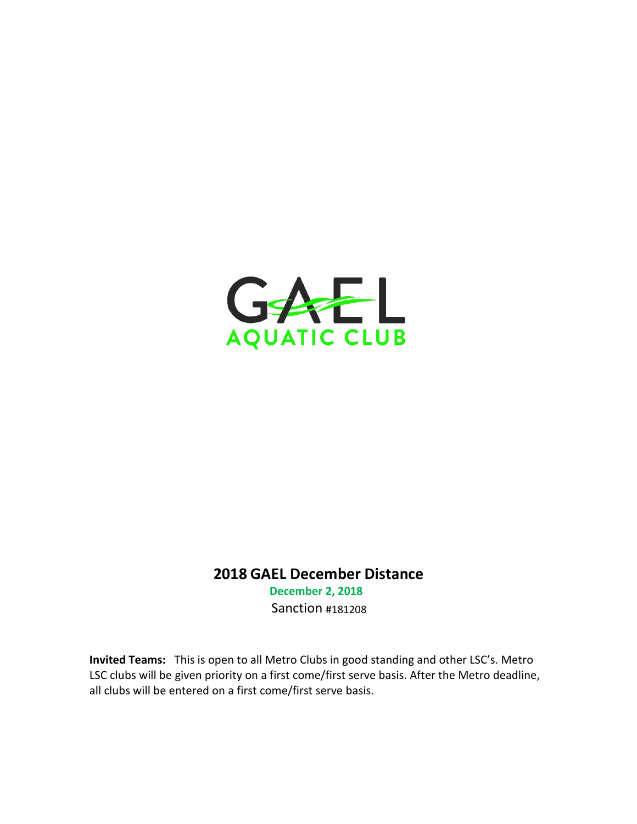

## 2018 GAEL December Distance

December 2, 2018 Sanction #181208

Invited Teams: This is open to all Metro Clubs in good standing and other LSC's. Metro LSC clubs will be given priority on a first come/first serve basis. After the Metro deadline, all clubs will be entered on a first come/first serve basis.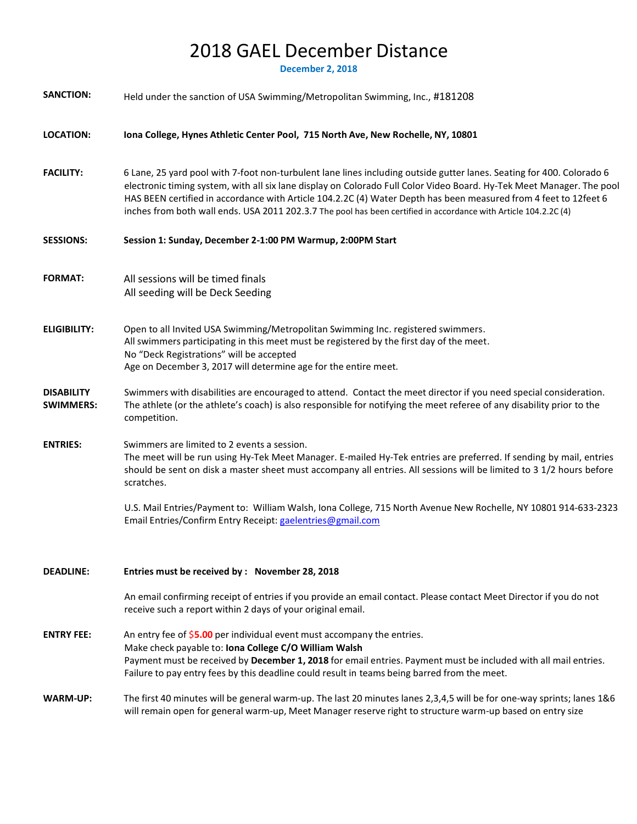# 2018 GAEL December Distance

December 2, 2018

| <b>SANCTION:</b>                      | Held under the sanction of USA Swimming/Metropolitan Swimming, Inc., #181208                                                                                                                                                                                                                                                                                                                                                                                                           |
|---------------------------------------|----------------------------------------------------------------------------------------------------------------------------------------------------------------------------------------------------------------------------------------------------------------------------------------------------------------------------------------------------------------------------------------------------------------------------------------------------------------------------------------|
| <b>LOCATION:</b>                      | Iona College, Hynes Athletic Center Pool, 715 North Ave, New Rochelle, NY, 10801                                                                                                                                                                                                                                                                                                                                                                                                       |
| <b>FACILITY:</b>                      | 6 Lane, 25 yard pool with 7-foot non-turbulent lane lines including outside gutter lanes. Seating for 400. Colorado 6<br>electronic timing system, with all six lane display on Colorado Full Color Video Board. Hy-Tek Meet Manager. The pool<br>HAS BEEN certified in accordance with Article 104.2.2C (4) Water Depth has been measured from 4 feet to 12feet 6<br>inches from both wall ends. USA 2011 202.3.7 The pool has been certified in accordance with Article 104.2.2C (4) |
| <b>SESSIONS:</b>                      | Session 1: Sunday, December 2-1:00 PM Warmup, 2:00PM Start                                                                                                                                                                                                                                                                                                                                                                                                                             |
| <b>FORMAT:</b>                        | All sessions will be timed finals<br>All seeding will be Deck Seeding                                                                                                                                                                                                                                                                                                                                                                                                                  |
| <b>ELIGIBILITY:</b>                   | Open to all Invited USA Swimming/Metropolitan Swimming Inc. registered swimmers.<br>All swimmers participating in this meet must be registered by the first day of the meet.<br>No "Deck Registrations" will be accepted<br>Age on December 3, 2017 will determine age for the entire meet.                                                                                                                                                                                            |
| <b>DISABILITY</b><br><b>SWIMMERS:</b> | Swimmers with disabilities are encouraged to attend. Contact the meet director if you need special consideration.<br>The athlete (or the athlete's coach) is also responsible for notifying the meet referee of any disability prior to the<br>competition.                                                                                                                                                                                                                            |
| <b>ENTRIES:</b>                       | Swimmers are limited to 2 events a session.<br>The meet will be run using Hy-Tek Meet Manager. E-mailed Hy-Tek entries are preferred. If sending by mail, entries<br>should be sent on disk a master sheet must accompany all entries. All sessions will be limited to 3 1/2 hours before<br>scratches.                                                                                                                                                                                |
|                                       | U.S. Mail Entries/Payment to: William Walsh, Iona College, 715 North Avenue New Rochelle, NY 10801 914-633-2323<br>Email Entries/Confirm Entry Receipt: gaelentries@gmail.com                                                                                                                                                                                                                                                                                                          |
| <b>DEADLINE:</b>                      | Entries must be received by : November 28, 2018                                                                                                                                                                                                                                                                                                                                                                                                                                        |
|                                       | An email confirming receipt of entries if you provide an email contact. Please contact Meet Director if you do not<br>receive such a report within 2 days of your original email.                                                                                                                                                                                                                                                                                                      |
| <b>ENTRY FEE:</b>                     | An entry fee of \$5.00 per individual event must accompany the entries.<br>Make check payable to: Iona College C/O William Walsh<br>Payment must be received by December 1, 2018 for email entries. Payment must be included with all mail entries.<br>Failure to pay entry fees by this deadline could result in teams being barred from the meet.                                                                                                                                    |
| WARM-UP:                              | The first 40 minutes will be general warm-up. The last 20 minutes lanes 2,3,4,5 will be for one-way sprints; lanes 1&6<br>will remain open for general warm-up, Meet Manager reserve right to structure warm-up based on entry size                                                                                                                                                                                                                                                    |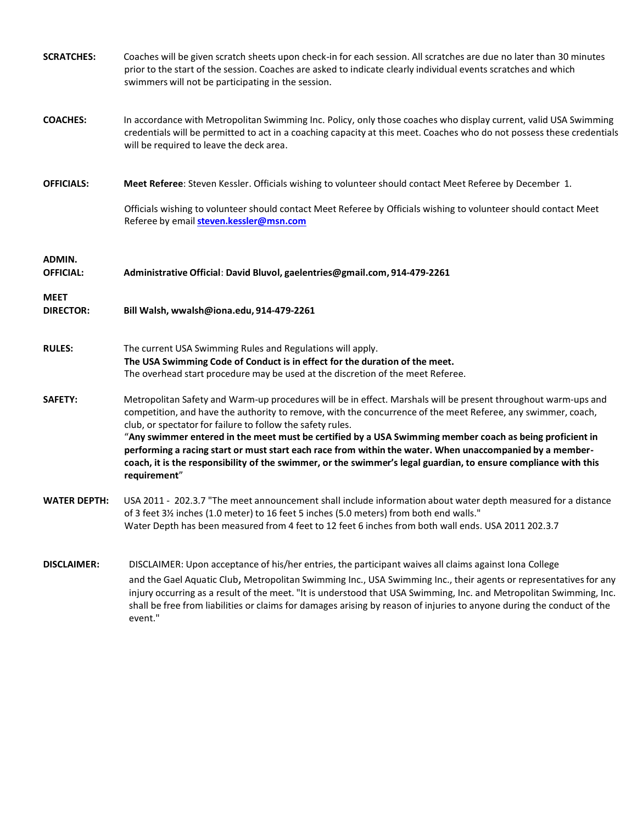| <b>SCRATCHES:</b>               | Coaches will be given scratch sheets upon check-in for each session. All scratches are due no later than 30 minutes<br>prior to the start of the session. Coaches are asked to indicate clearly individual events scratches and which<br>swimmers will not be participating in the session.                                                                                                                                                                                                                                                                                                                                                             |
|---------------------------------|---------------------------------------------------------------------------------------------------------------------------------------------------------------------------------------------------------------------------------------------------------------------------------------------------------------------------------------------------------------------------------------------------------------------------------------------------------------------------------------------------------------------------------------------------------------------------------------------------------------------------------------------------------|
| <b>COACHES:</b>                 | In accordance with Metropolitan Swimming Inc. Policy, only those coaches who display current, valid USA Swimming<br>credentials will be permitted to act in a coaching capacity at this meet. Coaches who do not possess these credentials<br>will be required to leave the deck area.                                                                                                                                                                                                                                                                                                                                                                  |
| <b>OFFICIALS:</b>               | Meet Referee: Steven Kessler. Officials wishing to volunteer should contact Meet Referee by December 1.                                                                                                                                                                                                                                                                                                                                                                                                                                                                                                                                                 |
|                                 | Officials wishing to volunteer should contact Meet Referee by Officials wishing to volunteer should contact Meet<br>Referee by email steven.kessler@msn.com                                                                                                                                                                                                                                                                                                                                                                                                                                                                                             |
| ADMIN.<br><b>OFFICIAL:</b>      | Administrative Official: David Bluvol, gaelentries@gmail.com, 914-479-2261                                                                                                                                                                                                                                                                                                                                                                                                                                                                                                                                                                              |
| <b>MEET</b><br><b>DIRECTOR:</b> | Bill Walsh, wwalsh@iona.edu, 914-479-2261                                                                                                                                                                                                                                                                                                                                                                                                                                                                                                                                                                                                               |
| <b>RULES:</b>                   | The current USA Swimming Rules and Regulations will apply.<br>The USA Swimming Code of Conduct is in effect for the duration of the meet.<br>The overhead start procedure may be used at the discretion of the meet Referee.                                                                                                                                                                                                                                                                                                                                                                                                                            |
| SAFETY:                         | Metropolitan Safety and Warm-up procedures will be in effect. Marshals will be present throughout warm-ups and<br>competition, and have the authority to remove, with the concurrence of the meet Referee, any swimmer, coach,<br>club, or spectator for failure to follow the safety rules.<br>"Any swimmer entered in the meet must be certified by a USA Swimming member coach as being proficient in<br>performing a racing start or must start each race from within the water. When unaccompanied by a member-<br>coach, it is the responsibility of the swimmer, or the swimmer's legal guardian, to ensure compliance with this<br>requirement" |
| <b>WATER DEPTH:</b>             | USA 2011 - 202.3.7 "The meet announcement shall include information about water depth measured for a distance<br>of 3 feet 3½ inches (1.0 meter) to 16 feet 5 inches (5.0 meters) from both end walls."<br>Water Depth has been measured from 4 feet to 12 feet 6 inches from both wall ends. USA 2011 202.3.7                                                                                                                                                                                                                                                                                                                                          |
| <b>DISCLAIMER:</b>              | DISCLAIMER: Upon acceptance of his/her entries, the participant waives all claims against Iona College<br>and the Gael Aquatic Club, Metropolitan Swimming Inc., USA Swimming Inc., their agents or representatives for any<br>injury occurring as a result of the meet. "It is understood that USA Swimming, Inc. and Metropolitan Swimming, Inc.<br>shall be free from liabilities or claims for damages arising by reason of injuries to anyone during the conduct of the<br>event."                                                                                                                                                                 |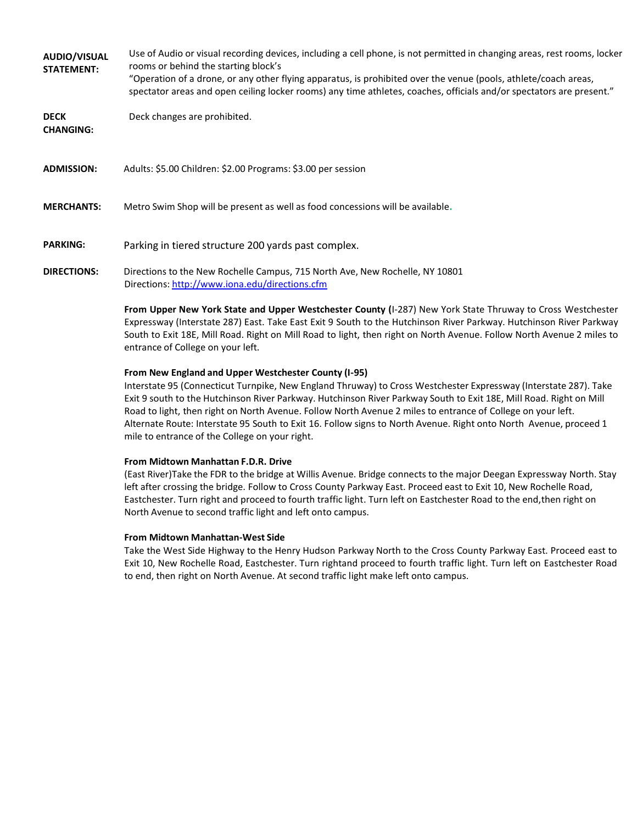AUDIO/VISUAL STATEMENT: Use of Audio or visual recording devices, including a cell phone, is not permitted in changing areas, rest rooms, locker rooms or behind the starting block's "Operation of a drone, or any other flying apparatus, is prohibited over the venue (pools, athlete/coach areas,

spectator areas and open ceiling locker rooms) any time athletes, coaches, officials and/or spectators are present."

DECK Deck changes are prohibited.

CHANGING:

ADMISSION: Adults: \$5.00 Children: \$2.00 Programs: \$3.00 per session

MERCHANTS: Metro Swim Shop will be present as well as food concessions will be available.

PARKING: Parking in tiered structure 200 yards past complex.

DIRECTIONS: Directions to the New Rochelle Campus, 715 North Ave, New Rochelle, NY 10801 Directions: http://www.iona.edu/directions.cfm

> From Upper New York State and Upper Westchester County (I-287) New York State Thruway to Cross Westchester Expressway (Interstate 287) East. Take East Exit 9 South to the Hutchinson River Parkway. Hutchinson River Parkway South to Exit 18E, Mill Road. Right on Mill Road to light, then right on North Avenue. Follow North Avenue 2 miles to entrance of College on your left.

#### From New England and Upper Westchester County (I-95)

Interstate 95 (Connecticut Turnpike, New England Thruway) to Cross Westchester Expressway (Interstate 287). Take Exit 9 south to the Hutchinson River Parkway. Hutchinson River Parkway South to Exit 18E, Mill Road. Right on Mill Road to light, then right on North Avenue. Follow North Avenue 2 miles to entrance of College on your left. Alternate Route: Interstate 95 South to Exit 16. Follow signs to North Avenue. Right onto North Avenue, proceed 1 mile to entrance of the College on your right.

#### From Midtown Manhattan F.D.R. Drive

(East River)Take the FDR to the bridge at Willis Avenue. Bridge connects to the major Deegan Expressway North. Stay left after crossing the bridge. Follow to Cross County Parkway East. Proceed east to Exit 10, New Rochelle Road, Eastchester. Turn right and proceed to fourth traffic light. Turn left on Eastchester Road to the end,then right on North Avenue to second traffic light and left onto campus.

#### From Midtown Manhattan-West Side

Take the West Side Highway to the Henry Hudson Parkway North to the Cross County Parkway East. Proceed east to Exit 10, New Rochelle Road, Eastchester. Turn rightand proceed to fourth traffic light. Turn left on Eastchester Road to end, then right on North Avenue. At second traffic light make left onto campus.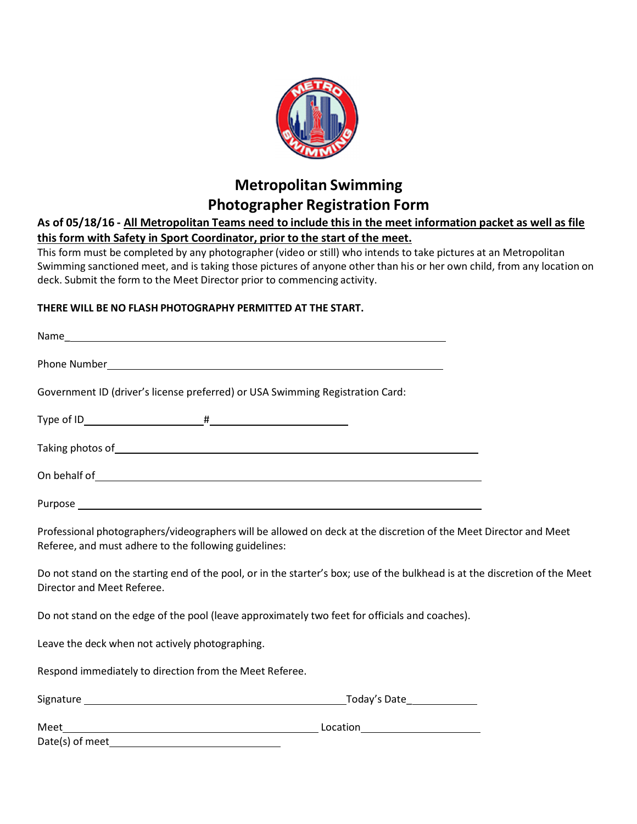

## Metropolitan Swimming Photographer Registration Form

## As of 05/18/16 - All Metropolitan Teams need to include this in the meet information packet as well as file this form with Safety in Sport Coordinator, prior to the start of the meet.

This form must be completed by any photographer (video or still) who intends to take pictures at an Metropolitan Swimming sanctioned meet, and is taking those pictures of anyone other than his or her own child, from any location on deck. Submit the form to the Meet Director prior to commencing activity.

## THERE WILL BE NO FLASH PHOTOGRAPHY PERMITTED AT THE START.

| Government ID (driver's license preferred) or USA Swimming Registration Card:                                                                                                                                                        |                                                                                                                             |
|--------------------------------------------------------------------------------------------------------------------------------------------------------------------------------------------------------------------------------------|-----------------------------------------------------------------------------------------------------------------------------|
|                                                                                                                                                                                                                                      |                                                                                                                             |
|                                                                                                                                                                                                                                      |                                                                                                                             |
| On behalf of subsets of the set of the set of the set of the set of the set of the set of the set of the set of the set of the set of the set of the set of the set of the set of the set of the set of the set of the set of        |                                                                                                                             |
| Purpose <u>and a second contract of the second contract of the second contract of the second contract of the second contract of the second contract of the second contract of the second contract of the second contract of the </u> |                                                                                                                             |
| Referee, and must adhere to the following guidelines:                                                                                                                                                                                | Professional photographers/videographers will be allowed on deck at the discretion of the Meet Director and Meet            |
| Director and Meet Referee.                                                                                                                                                                                                           | Do not stand on the starting end of the pool, or in the starter's box; use of the bulkhead is at the discretion of the Meet |
| Do not stand on the edge of the pool (leave approximately two feet for officials and coaches).                                                                                                                                       |                                                                                                                             |
| Leave the deck when not actively photographing.                                                                                                                                                                                      |                                                                                                                             |
| Respond immediately to direction from the Meet Referee.                                                                                                                                                                              |                                                                                                                             |
|                                                                                                                                                                                                                                      |                                                                                                                             |
|                                                                                                                                                                                                                                      |                                                                                                                             |
| Date(s) of meet                                                                                                                                                                                                                      |                                                                                                                             |